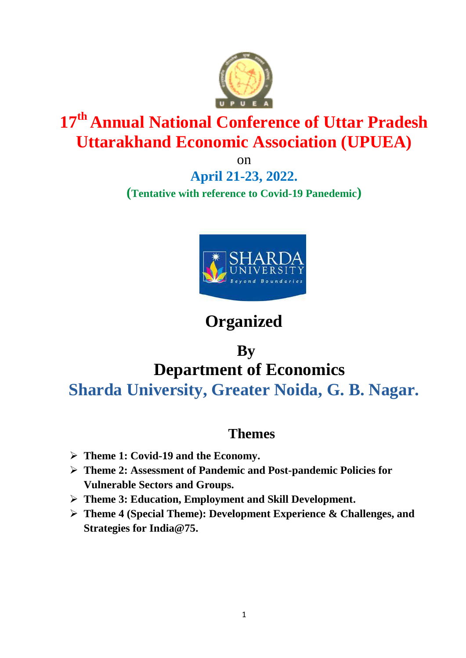

# **17 th Annual National Conference of Uttar Pradesh Uttarakhand Economic Association (UPUEA)**

on

**April 21-23, 2022. (Tentative with reference to Covid-19 Panedemic)**



## **Organized**

## **By Department of Economics Sharda University, Greater Noida, G. B. Nagar.**

## **Themes**

- **Theme 1: Covid-19 and the Economy.**
- **Theme 2: Assessment of Pandemic and Post-pandemic Policies for Vulnerable Sectors and Groups.**
- **Theme 3: Education, Employment and Skill Development.**
- **Theme 4 (Special Theme): Development Experience & Challenges, and Strategies for India@75.**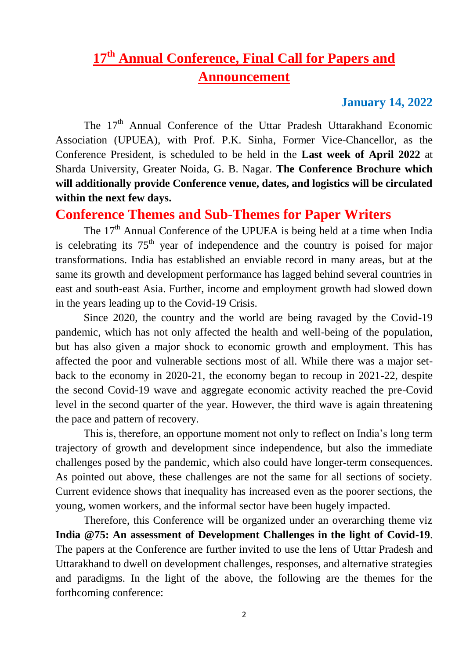## **17th Annual Conference, Final Call for Papers and Announcement**

#### **January 14, 2022**

The 17<sup>th</sup> Annual Conference of the Uttar Pradesh Uttarakhand Economic Association (UPUEA), with Prof. P.K. Sinha, Former Vice-Chancellor, as the Conference President, is scheduled to be held in the **Last week of April 2022** at Sharda University, Greater Noida, G. B. Nagar. **The Conference Brochure which will additionally provide Conference venue, dates, and logistics will be circulated within the next few days.**

#### **Conference Themes and Sub-Themes for Paper Writers**

The  $17<sup>th</sup>$  Annual Conference of the UPUEA is being held at a time when India is celebrating its  $75<sup>th</sup>$  year of independence and the country is poised for major transformations. India has established an enviable record in many areas, but at the same its growth and development performance has lagged behind several countries in east and south-east Asia. Further, income and employment growth had slowed down in the years leading up to the Covid-19 Crisis.

Since 2020, the country and the world are being ravaged by the Covid-19 pandemic, which has not only affected the health and well-being of the population, but has also given a major shock to economic growth and employment. This has affected the poor and vulnerable sections most of all. While there was a major setback to the economy in 2020-21, the economy began to recoup in 2021-22, despite the second Covid-19 wave and aggregate economic activity reached the pre-Covid level in the second quarter of the year. However, the third wave is again threatening the pace and pattern of recovery.

This is, therefore, an opportune moment not only to reflect on India's long term trajectory of growth and development since independence, but also the immediate challenges posed by the pandemic, which also could have longer-term consequences. As pointed out above, these challenges are not the same for all sections of society. Current evidence shows that inequality has increased even as the poorer sections, the young, women workers, and the informal sector have been hugely impacted.

Therefore, this Conference will be organized under an overarching theme viz **India @75: An assessment of Development Challenges in the light of Covid-19**. The papers at the Conference are further invited to use the lens of Uttar Pradesh and Uttarakhand to dwell on development challenges, responses, and alternative strategies and paradigms. In the light of the above, the following are the themes for the forthcoming conference: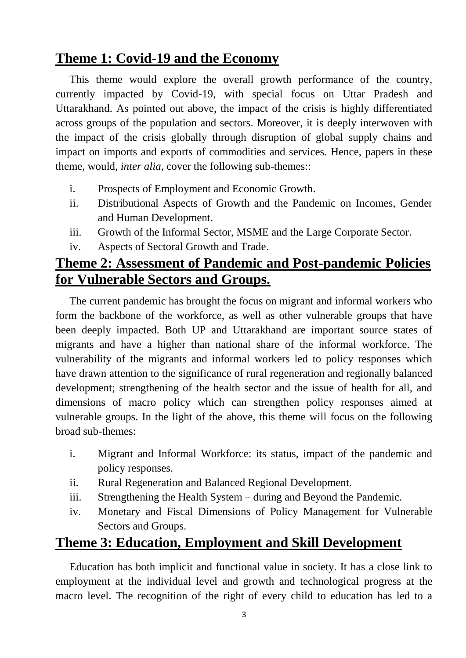## **Theme 1: Covid-19 and the Economy**

This theme would explore the overall growth performance of the country, currently impacted by Covid-19, with special focus on Uttar Pradesh and Uttarakhand. As pointed out above, the impact of the crisis is highly differentiated across groups of the population and sectors. Moreover, it is deeply interwoven with the impact of the crisis globally through disruption of global supply chains and impact on imports and exports of commodities and services. Hence, papers in these theme, would, *inter alia,* cover the following sub-themes::

- i. Prospects of Employment and Economic Growth.
- ii. Distributional Aspects of Growth and the Pandemic on Incomes, Gender and Human Development.
- iii. Growth of the Informal Sector, MSME and the Large Corporate Sector.
- iv. Aspects of Sectoral Growth and Trade.

## **Theme 2: Assessment of Pandemic and Post-pandemic Policies for Vulnerable Sectors and Groups.**

The current pandemic has brought the focus on migrant and informal workers who form the backbone of the workforce, as well as other vulnerable groups that have been deeply impacted. Both UP and Uttarakhand are important source states of migrants and have a higher than national share of the informal workforce. The vulnerability of the migrants and informal workers led to policy responses which have drawn attention to the significance of rural regeneration and regionally balanced development; strengthening of the health sector and the issue of health for all, and dimensions of macro policy which can strengthen policy responses aimed at vulnerable groups. In the light of the above, this theme will focus on the following broad sub-themes:

- i. Migrant and Informal Workforce: its status, impact of the pandemic and policy responses.
- ii. Rural Regeneration and Balanced Regional Development.
- iii. Strengthening the Health System during and Beyond the Pandemic.
- iv. Monetary and Fiscal Dimensions of Policy Management for Vulnerable Sectors and Groups.

### **Theme 3: Education, Employment and Skill Development**

Education has both implicit and functional value in society. It has a close link to employment at the individual level and growth and technological progress at the macro level. The recognition of the right of every child to education has led to a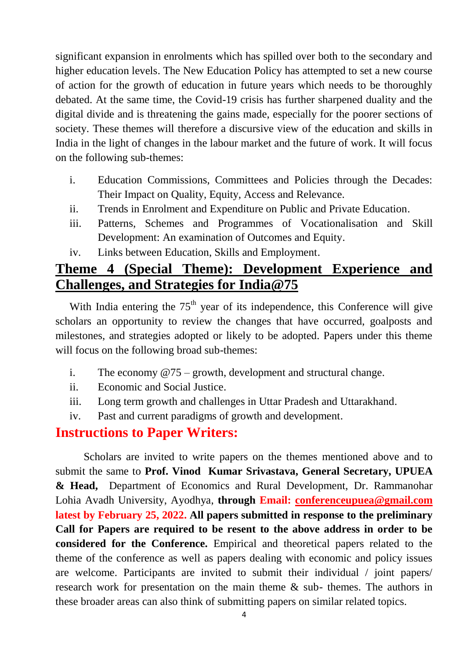significant expansion in enrolments which has spilled over both to the secondary and higher education levels. The New Education Policy has attempted to set a new course of action for the growth of education in future years which needs to be thoroughly debated. At the same time, the Covid-19 crisis has further sharpened duality and the digital divide and is threatening the gains made, especially for the poorer sections of society. These themes will therefore a discursive view of the education and skills in India in the light of changes in the labour market and the future of work. It will focus on the following sub-themes:

- i. Education Commissions, Committees and Policies through the Decades: Their Impact on Quality, Equity, Access and Relevance.
- ii. Trends in Enrolment and Expenditure on Public and Private Education.
- iii. Patterns, Schemes and Programmes of Vocationalisation and Skill Development: An examination of Outcomes and Equity.
- iv. Links between Education, Skills and Employment.

## **Theme 4 (Special Theme): Development Experience and Challenges, and Strategies for India@75**

With India entering the  $75<sup>th</sup>$  year of its independence, this Conference will give scholars an opportunity to review the changes that have occurred, goalposts and milestones, and strategies adopted or likely to be adopted. Papers under this theme will focus on the following broad sub-themes:

- i. The economy  $@75 -$  growth, development and structural change.
- ii. Economic and Social Justice.
- iii. Long term growth and challenges in Uttar Pradesh and Uttarakhand.
- iv. Past and current paradigms of growth and development.

#### **Instructions to Paper Writers:**

Scholars are invited to write papers on the themes mentioned above and to submit the same to **Prof. Vinod Kumar Srivastava, General Secretary, UPUEA & Head,** Department of Economics and Rural Development, Dr. Rammanohar Lohia Avadh University, Ayodhya, **through Email: [conferenceupuea@gmail.com](mailto:conferenceupuea@gmail.com) latest by February 25, 2022. All papers submitted in response to the preliminary Call for Papers are required to be resent to the above address in order to be considered for the Conference.** Empirical and theoretical papers related to the theme of the conference as well as papers dealing with economic and policy issues are welcome. Participants are invited to submit their individual / joint papers/ research work for presentation on the main theme & sub- themes. The authors in these broader areas can also think of submitting papers on similar related topics.